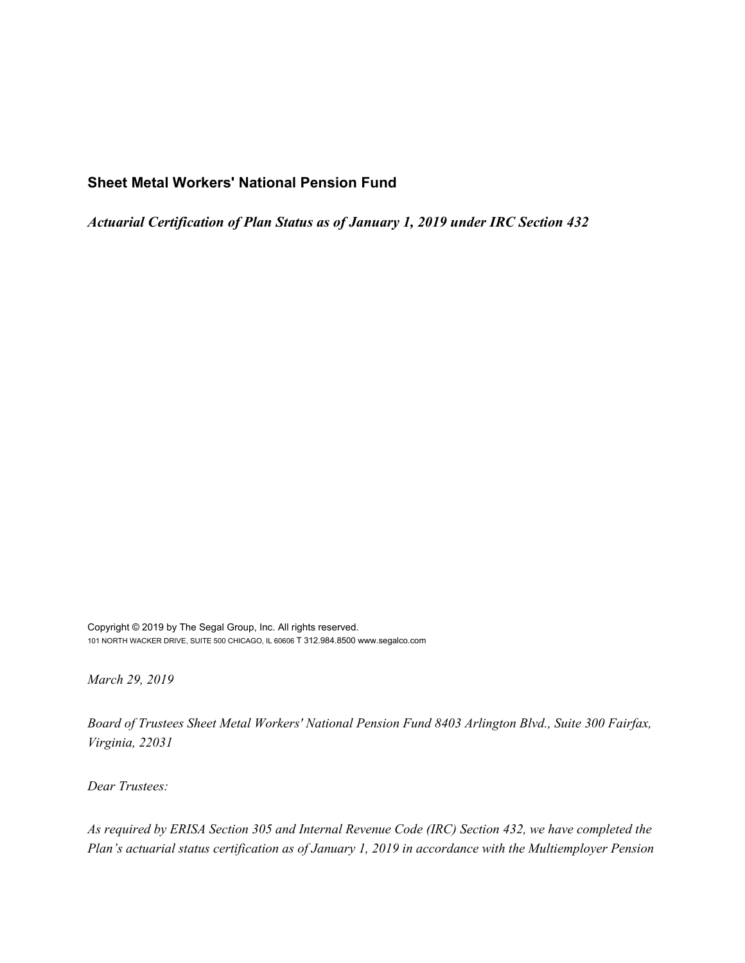# **Sheet Metal Workers' National Pension Fund**

*Actuarial Certification of Plan Status as of January 1, 2019 under IRC Section 432*

Copyright © 2019 by The Segal Group, Inc. All rights reserved. 101 NORTH WACKER DRIVE, SUITE 500 CHICAGO, IL 60606 T 312.984.8500 www.segalco.com

*March 29, 2019*

*Board of Trustees Sheet Metal Workers' National Pension Fund 8403 Arlington Blvd., Suite 300 Fairfax, Virginia, 22031*

*Dear Trustees:*

*As required by ERISA Section 305 and Internal Revenue Code (IRC) Section 432, we have completed the Plan's actuarial status certification as of January 1, 2019 in accordance with the Multiemployer Pension*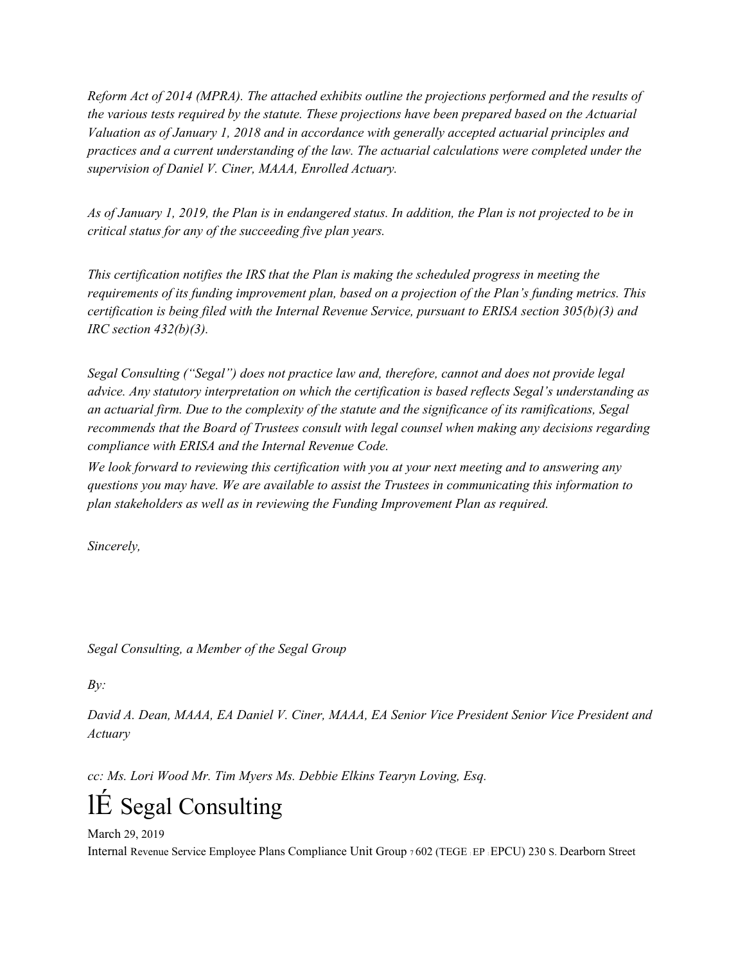*Reform Act of 2014 (MPRA). The attached exhibits outline the projections performed and the results of the various tests required by the statute. These projections have been prepared based on the Actuarial Valuation as of January 1, 2018 and in accordance with generally accepted actuarial principles and practices and a current understanding of the law. The actuarial calculations were completed under the supervision of Daniel V. Ciner, MAAA, Enrolled Actuary.*

As of January 1, 2019, the Plan is in endangered status. In addition, the Plan is not projected to be in *critical status for any of the succeeding five plan years.*

*This certification notifies the IRS that the Plan is making the scheduled progress in meeting the requirements of its funding improvement plan, based on a projection of the Plan's funding metrics. This certification is being filed with the Internal Revenue Service, pursuant to ERISA section 305(b)(3) and IRC section 432(b)(3).*

*Segal Consulting ("Segal") does not practice law and, therefore, cannot and does not provide legal advice. Any statutory interpretation on which the certification is based reflects Segal's understanding as an actuarial firm. Due to the complexity of the statute and the significance of its ramifications, Segal recommends that the Board of Trustees consult with legal counsel when making any decisions regarding compliance with ERISA and the Internal Revenue Code.*

*We look forward to reviewing this certification with you at your next meeting and to answering any questions you may have. We are available to assist the Trustees in communicating this information to plan stakeholders as well as in reviewing the Funding Improvement Plan as required.*

*Sincerely,*

*Segal Consulting, a Member of the Segal Group*

*By:*

*David A. Dean, MAAA, EA Daniel V. Ciner, MAAA, EA Senior Vice President Senior Vice President and Actuary*

*cc: Ms. Lori Wood Mr. Tim Myers Ms. Debbie Elkins Tearyn Loving, Esq.*

# lÉ Segal Consulting

March 29, 2019 Internal Revenue Service Employee Plans Compliance Unit Group <sup>7</sup>602 (TEGE : EP : EPCU) 230 S. Dearborn Street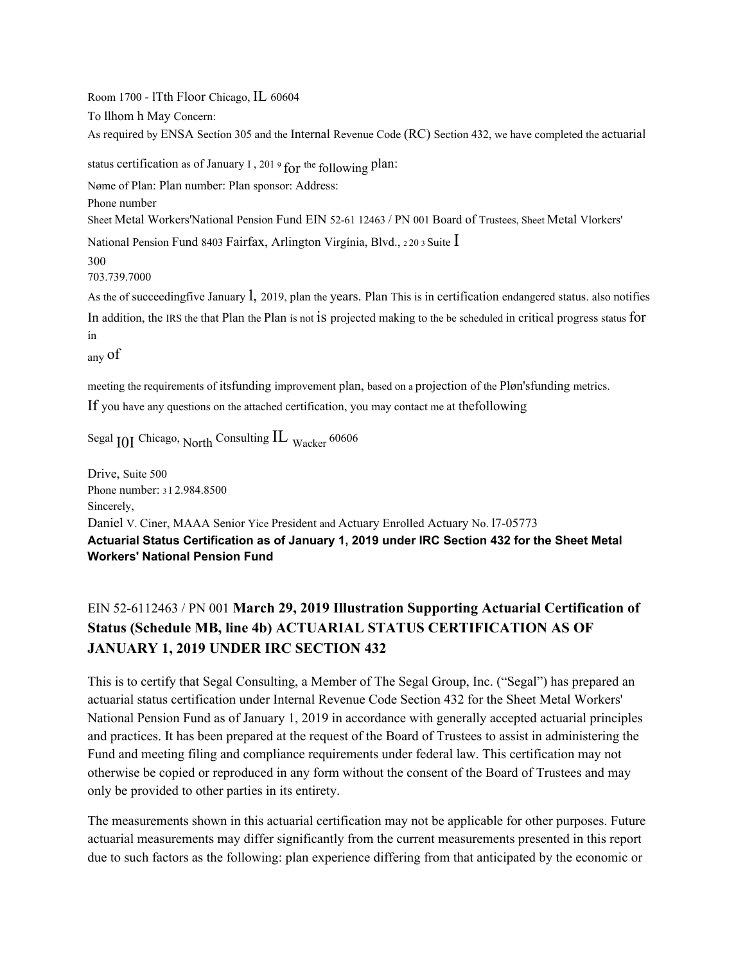Room 1700 - lTth Floor Chicago, IL 60604 To llhom h May Concern: As required by ENSA Sectíon 305 and the Internal Revenue Code (RC) Section 432, we have completed the actuarial

status certification as of January I, 201 9 for the following plan:

Nøme of Plan: Plan number: Plan sponsor: Address:

Phone number

Sheet Metal Workers'National Pension Fund EIN 52-61 12463 / PN 001 Board of Trustees, Sheet Metal Vlorkers'

National Pension Fund 8403 Fairfax, Arlington Virgínia, Blvd., <sup>2</sup><sup>20</sup> <sup>3</sup> Suite I

300

703.739.7000

As the of succeedingfive January l, 2019, plan the years. Plan This is in certification endangered status. also notifies In addition, the IRS the that Plan the Plan ís not is projected making to the be scheduled in critical progress status for ín

any of

meeting the requirements of itsfunding improvement plan, based on a projection of the Pløn'sfunding metrics. If you have any questions on the attached certification, you may contact me at thefollowing

Segal <sub>IOI</sub> Chicago, <sub>North</sub> Consulting IL <sub>Wacker</sub> 60606

Drive, Suite 500 Phone number: <sup>3</sup> I 2.984.8500 Sincerely, Daniel V. Ciner, MAAA Senior Yice President and Actuary Enrolled Actuary No. l7-05773 **Actuarial Status Certification as of January 1, 2019 under IRC Section 432 for the Sheet Metal Workers' National Pension Fund**

# EIN 52-6112463 / PN 001 **March 29, 2019 Illustration Supporting Actuarial Certification of Status (Schedule MB, line 4b) ACTUARIAL STATUS CERTIFICATION AS OF JANUARY 1, 2019 UNDER IRC SECTION 432**

This is to certify that Segal Consulting, a Member of The Segal Group, Inc. ("Segal") has prepared an actuarial status certification under Internal Revenue Code Section 432 for the Sheet Metal Workers' National Pension Fund as of January 1, 2019 in accordance with generally accepted actuarial principles and practices. It has been prepared at the request of the Board of Trustees to assist in administering the Fund and meeting filing and compliance requirements under federal law. This certification may not otherwise be copied or reproduced in any form without the consent of the Board of Trustees and may only be provided to other parties in its entirety.

The measurements shown in this actuarial certification may not be applicable for other purposes. Future actuarial measurements may differ significantly from the current measurements presented in this report due to such factors as the following: plan experience differing from that anticipated by the economic or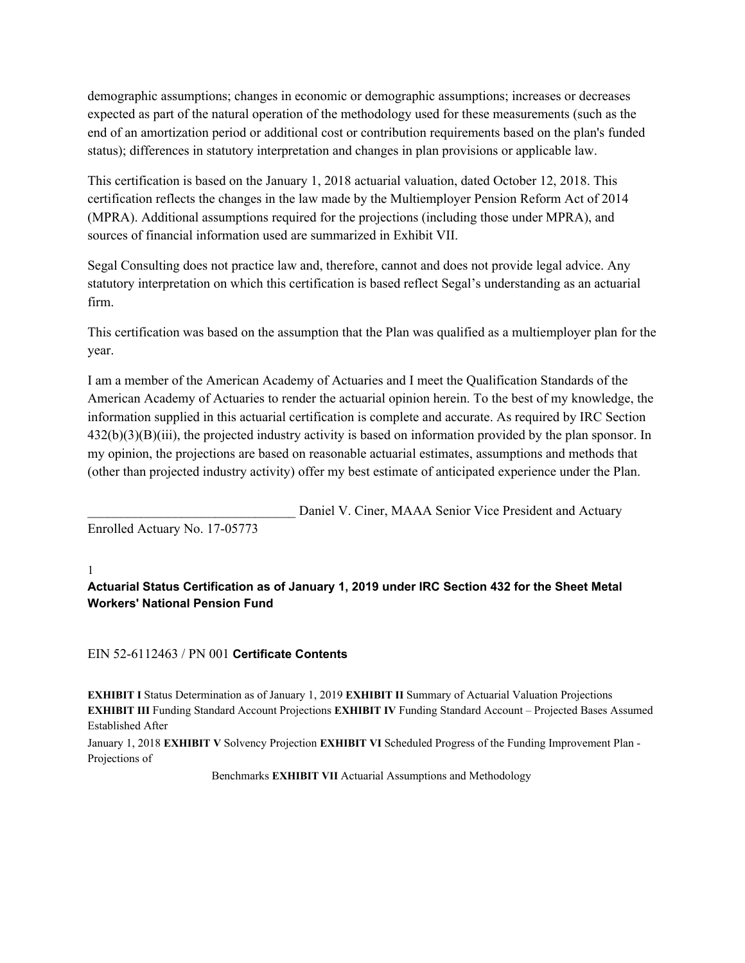demographic assumptions; changes in economic or demographic assumptions; increases or decreases expected as part of the natural operation of the methodology used for these measurements (such as the end of an amortization period or additional cost or contribution requirements based on the plan's funded status); differences in statutory interpretation and changes in plan provisions or applicable law.

This certification is based on the January 1, 2018 actuarial valuation, dated October 12, 2018. This certification reflects the changes in the law made by the Multiemployer Pension Reform Act of 2014 (MPRA). Additional assumptions required for the projections (including those under MPRA), and sources of financial information used are summarized in Exhibit VII.

Segal Consulting does not practice law and, therefore, cannot and does not provide legal advice. Any statutory interpretation on which this certification is based reflect Segal's understanding as an actuarial firm.

This certification was based on the assumption that the Plan was qualified as a multiemployer plan for the year.

I am a member of the American Academy of Actuaries and I meet the Qualification Standards of the American Academy of Actuaries to render the actuarial opinion herein. To the best of my knowledge, the information supplied in this actuarial certification is complete and accurate. As required by IRC Section 432(b)(3)(B)(iii), the projected industry activity is based on information provided by the plan sponsor. In my opinion, the projections are based on reasonable actuarial estimates, assumptions and methods that (other than projected industry activity) offer my best estimate of anticipated experience under the Plan.

Daniel V. Ciner, MAAA Senior Vice President and Actuary Enrolled Actuary No. 17-05773

1

**Actuarial Status Certification as of January 1, 2019 under IRC Section 432 for the Sheet Metal Workers' National Pension Fund**

# EIN 52-6112463 / PN 001 **Certificate Contents**

**EXHIBIT I** Status Determination as of January 1, 2019 **EXHIBIT II** Summary of Actuarial Valuation Projections **EXHIBIT III** Funding Standard Account Projections **EXHIBIT IV** Funding Standard Account – Projected Bases Assumed Established After

January 1, 2018 **EXHIBIT V** Solvency Projection **EXHIBIT VI** Scheduled Progress of the Funding Improvement Plan - Projections of

Benchmarks **EXHIBIT VII** Actuarial Assumptions and Methodology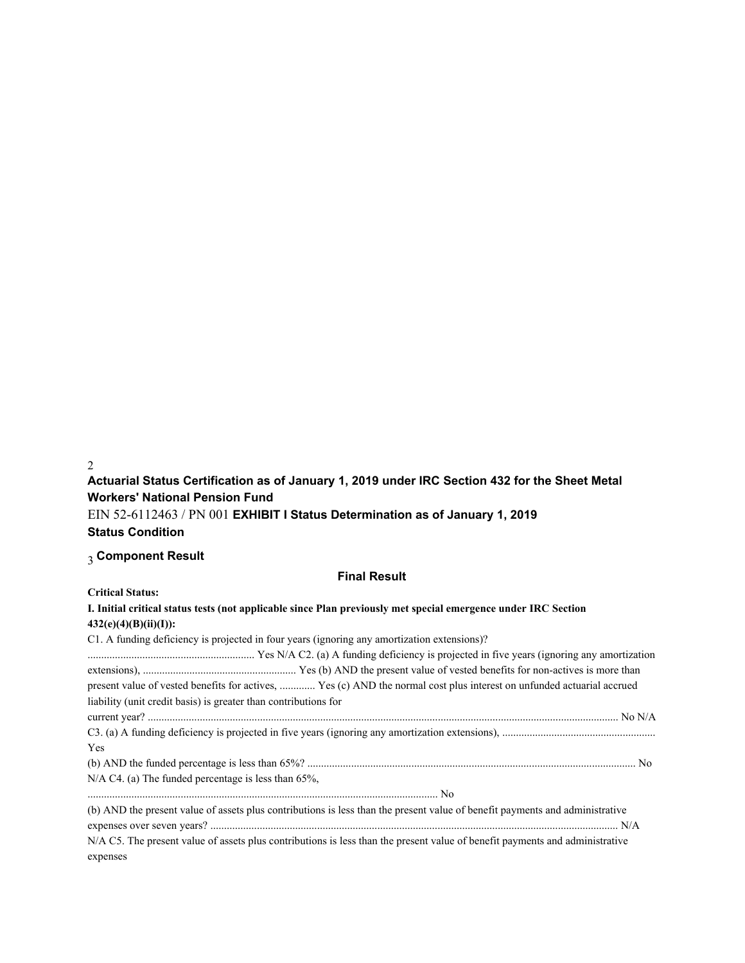2

**Actuarial Status Certification as of January 1, 2019 under IRC Section 432 for the Sheet Metal Workers' National Pension Fund**

EIN 52-6112463 / PN 001 **EXHIBIT I Status Determination as of January 1, 2019 Status Condition**

# 3 **Component Result**

## **Final Result**

**Critical Status:**

| I. Initial critical status tests (not applicable since Plan previously met special emergence under IRC Section<br>$432(e)(4)(B)(ii)(I))$ :                                                                                                                               |
|--------------------------------------------------------------------------------------------------------------------------------------------------------------------------------------------------------------------------------------------------------------------------|
| C1. A funding deficiency is projected in four years (ignoring any amortization extensions)?                                                                                                                                                                              |
| present value of vested benefits for actives,  Yes (c) AND the normal cost plus interest on unfunded actuarial accrued<br>liability (unit credit basis) is greater than contributions for                                                                                |
|                                                                                                                                                                                                                                                                          |
| Yes                                                                                                                                                                                                                                                                      |
|                                                                                                                                                                                                                                                                          |
| $N/A$ C4. (a) The funded percentage is less than 65%,                                                                                                                                                                                                                    |
|                                                                                                                                                                                                                                                                          |
| (b) AND the present value of assets plus contributions is less than the present value of benefit payments and administrative<br>N/A C5. The present value of assets plus contributions is less than the present value of benefit payments and administrative<br>expenses |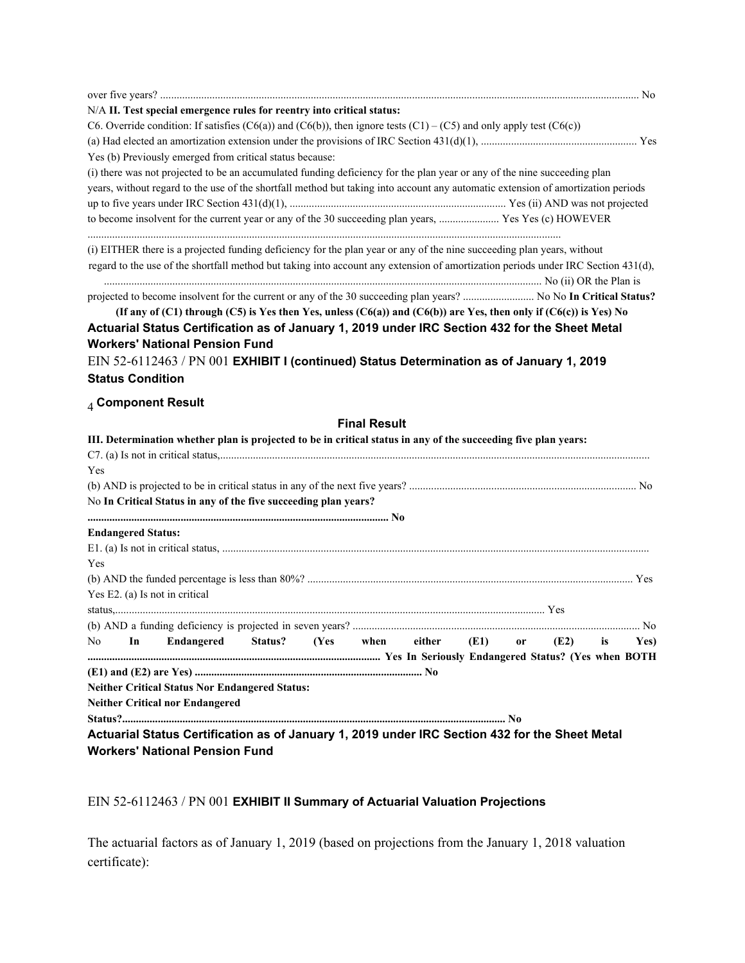|     |                           | N/A II. Test special emergence rules for reentry into critical status:                                                            |                         |                     |        |      |               |      |    |      |
|-----|---------------------------|-----------------------------------------------------------------------------------------------------------------------------------|-------------------------|---------------------|--------|------|---------------|------|----|------|
|     |                           | C6. Override condition: If satisfies (C6(a)) and (C6(b)), then ignore tests (C1) – (C5) and only apply test (C6(c))               |                         |                     |        |      |               |      |    |      |
|     |                           |                                                                                                                                   |                         |                     |        |      |               |      |    |      |
|     |                           | Yes (b) Previously emerged from critical status because:                                                                          |                         |                     |        |      |               |      |    |      |
|     |                           | (i) there was not projected to be an accumulated funding deficiency for the plan year or any of the nine succeeding plan          |                         |                     |        |      |               |      |    |      |
|     |                           | years, without regard to the use of the shortfall method but taking into account any automatic extension of amortization periods  |                         |                     |        |      |               |      |    |      |
|     |                           |                                                                                                                                   |                         |                     |        |      |               |      |    |      |
|     |                           |                                                                                                                                   |                         |                     |        |      |               |      |    |      |
|     |                           | (i) EITHER there is a projected funding deficiency for the plan year or any of the nine succeeding plan years, without            |                         |                     |        |      |               |      |    |      |
|     |                           | regard to the use of the shortfall method but taking into account any extension of amortization periods under IRC Section 431(d), |                         |                     |        |      |               |      |    |      |
|     |                           | projected to become insolvent for the current or any of the 30 succeeding plan years?  No No In Critical Status?                  |                         |                     |        |      |               |      |    |      |
|     |                           | (If any of (C1) through (C5) is Yes then Yes, unless (C6(a)) and (C6(b)) are Yes, then only if (C6(c)) is Yes) No                 |                         |                     |        |      |               |      |    |      |
|     |                           | Actuarial Status Certification as of January 1, 2019 under IRC Section 432 for the Sheet Metal                                    |                         |                     |        |      |               |      |    |      |
|     |                           | <b>Workers' National Pension Fund</b>                                                                                             |                         |                     |        |      |               |      |    |      |
|     |                           | EIN 52-6112463 / PN 001 EXHIBIT I (continued) Status Determination as of January 1, 2019                                          |                         |                     |        |      |               |      |    |      |
|     | <b>Status Condition</b>   |                                                                                                                                   |                         |                     |        |      |               |      |    |      |
|     |                           | $_4$ Component Result                                                                                                             |                         |                     |        |      |               |      |    |      |
|     |                           |                                                                                                                                   |                         | <b>Final Result</b> |        |      |               |      |    |      |
|     |                           | III. Determination whether plan is projected to be in critical status in any of the succeeding five plan years:                   |                         |                     |        |      |               |      |    |      |
|     |                           |                                                                                                                                   |                         |                     |        |      |               |      |    |      |
| Yes |                           |                                                                                                                                   |                         |                     |        |      |               |      |    |      |
|     |                           |                                                                                                                                   |                         |                     |        |      |               |      |    |      |
|     |                           | No In Critical Status in any of the five succeeding plan years?                                                                   |                         |                     |        |      |               |      |    |      |
|     |                           |                                                                                                                                   |                         |                     |        |      |               |      |    |      |
|     | <b>Endangered Status:</b> |                                                                                                                                   |                         |                     |        |      |               |      |    |      |
|     |                           |                                                                                                                                   |                         |                     |        |      |               |      |    |      |
| Yes |                           |                                                                                                                                   |                         |                     |        |      |               |      |    |      |
|     |                           |                                                                                                                                   |                         |                     |        |      |               |      |    |      |
|     |                           | Yes E2. (a) Is not in critical                                                                                                    |                         |                     |        |      |               |      |    |      |
|     |                           |                                                                                                                                   |                         |                     |        |      |               |      |    |      |
|     |                           |                                                                                                                                   |                         |                     |        |      |               |      |    |      |
| No  | In                        |                                                                                                                                   | Endangered Status? (Yes | when                | either | (E1) | <sub>or</sub> | (E2) | is | Yes) |
|     |                           |                                                                                                                                   |                         |                     |        |      |               |      |    |      |
|     |                           | <b>Neither Critical Status Nor Endangered Status:</b>                                                                             |                         |                     |        |      |               |      |    |      |
|     |                           | <b>Neither Critical nor Endangered</b>                                                                                            |                         |                     |        |      |               |      |    |      |
|     |                           |                                                                                                                                   |                         |                     |        |      |               |      |    |      |
|     |                           | Actuarial Status Certification as of January 1, 2019 under IRC Section 432 for the Sheet Metal                                    |                         |                     |        |      |               |      |    |      |
|     |                           | <b>Workers' National Pension Fund</b>                                                                                             |                         |                     |        |      |               |      |    |      |
|     |                           |                                                                                                                                   |                         |                     |        |      |               |      |    |      |

# EIN 52-6112463 / PN 001 **EXHIBIT II Summary of Actuarial Valuation Projections**

The actuarial factors as of January 1, 2019 (based on projections from the January 1, 2018 valuation certificate):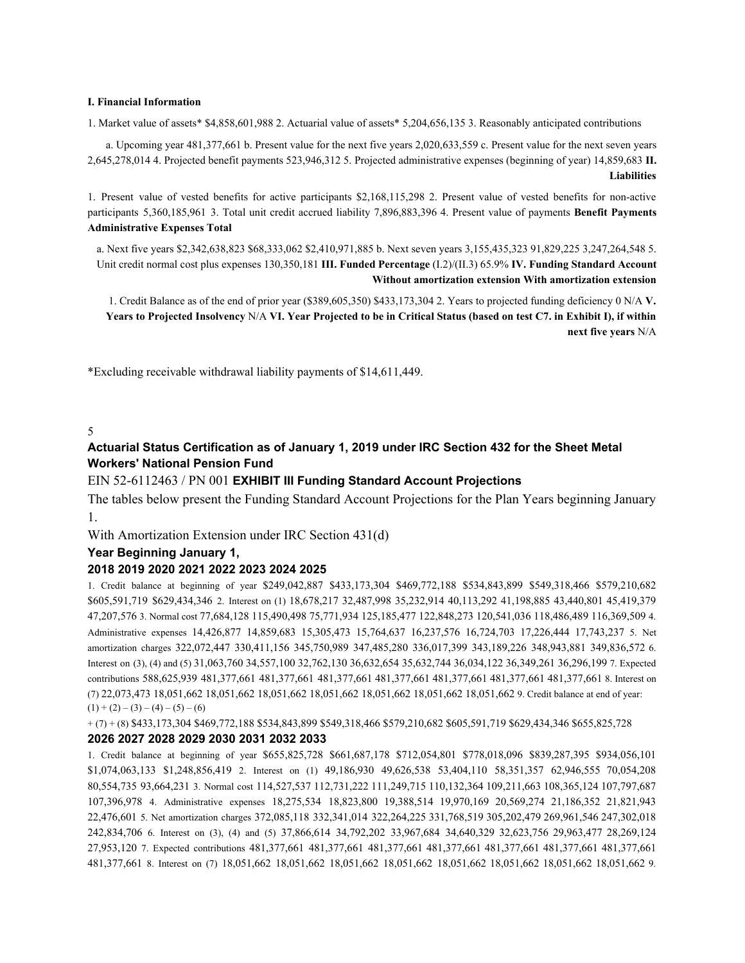#### **I. Financial Information**

1. Market value of assets\* \$4,858,601,988 2. Actuarial value of assets\* 5,204,656,135 3. Reasonably anticipated contributions

a. Upcoming year 481,377,661 b. Present value for the next five years 2,020,633,559 c. Present value for the next seven years 2,645,278,014 4. Projected benefit payments 523,946,312 5. Projected administrative expenses (beginning of year) 14,859,683 **II. Liabilities**

1. Present value of vested benefits for active participants \$2,168,115,298 2. Present value of vested benefits for non-active participants 5,360,185,961 3. Total unit credit accrued liability 7,896,883,396 4. Present value of payments **Benefit Payments Administrative Expenses Total**

a. Next five years \$2,342,638,823 \$68,333,062 \$2,410,971,885 b. Next seven years 3,155,435,323 91,829,225 3,247,264,548 5. Unit credit normal cost plus expenses 130,350,181 **III. Funded Percentage** (I.2)/(II.3) 65.9% **IV. Funding Standard Account Without amortization extension With amortization extension**

1. Credit Balance as of the end of prior year (\$389,605,350) \$433,173,304 2. Years to projected funding deficiency 0 N/A **V. Years to Projected Insolvency** N/A **VI. Year Projected to be in Critical Status (based on test C7. in Exhibit I), if within next five years** N/A

\*Excluding receivable withdrawal liability payments of \$14,611,449.

### 5

# **Actuarial Status Certification as of January 1, 2019 under IRC Section 432 for the Sheet Metal Workers' National Pension Fund**

### EIN 52-6112463 / PN 001 **EXHIBIT III Funding Standard Account Projections**

The tables below present the Funding Standard Account Projections for the Plan Years beginning January 1.

With Amortization Extension under IRC Section 431(d)

### **Year Beginning January 1,**

### **2018 2019 2020 2021 2022 2023 2024 2025**

1. Credit balance at beginning of year \$249,042,887 \$433,173,304 \$469,772,188 \$534,843,899 \$549,318,466 \$579,210,682 \$605,591,719 \$629,434,346 2. Interest on (1) 18,678,217 32,487,998 35,232,914 40,113,292 41,198,885 43,440,801 45,419,379 47,207,576 3. Normal cost 77,684,128 115,490,498 75,771,934 125,185,477 122,848,273 120,541,036 118,486,489 116,369,509 4. Administrative expenses 14,426,877 14,859,683 15,305,473 15,764,637 16,237,576 16,724,703 17,226,444 17,743,237 5. Net amortization charges 322,072,447 330,411,156 345,750,989 347,485,280 336,017,399 343,189,226 348,943,881 349,836,572 6. Interest on (3), (4) and (5) 31,063,760 34,557,100 32,762,130 36,632,654 35,632,744 36,034,122 36,349,261 36,296,199 7. Expected contributions 588,625,939 481,377,661 481,377,661 481,377,661 481,377,661 481,377,661 481,377,661 481,377,661 8. Interest on (7) 22,073,473 18,051,662 18,051,662 18,051,662 18,051,662 18,051,662 18,051,662 18,051,662 9. Credit balance at end of year:  $(1) + (2) - (3) - (4) - (5) - (6)$ 

+ (7) + (8) \$433,173,304 \$469,772,188 \$534,843,899 \$549,318,466 \$579,210,682 \$605,591,719 \$629,434,346 \$655,825,728

### **2026 2027 2028 2029 2030 2031 2032 2033**

1. Credit balance at beginning of year \$655,825,728 \$661,687,178 \$712,054,801 \$778,018,096 \$839,287,395 \$934,056,101 \$1,074,063,133 \$1,248,856,419 2. Interest on (1) 49,186,930 49,626,538 53,404,110 58,351,357 62,946,555 70,054,208 80,554,735 93,664,231 3. Normal cost 114,527,537 112,731,222 111,249,715 110,132,364 109,211,663 108,365,124 107,797,687 107,396,978 4. Administrative expenses 18,275,534 18,823,800 19,388,514 19,970,169 20,569,274 21,186,352 21,821,943 22,476,601 5. Net amortization charges 372,085,118 332,341,014 322,264,225 331,768,519 305,202,479 269,961,546 247,302,018 242,834,706 6. Interest on (3), (4) and (5) 37,866,614 34,792,202 33,967,684 34,640,329 32,623,756 29,963,477 28,269,124 27,953,120 7. Expected contributions 481,377,661 481,377,661 481,377,661 481,377,661 481,377,661 481,377,661 481,377,661 481,377,661 8. Interest on (7) 18,051,662 18,051,662 18,051,662 18,051,662 18,051,662 18,051,662 18,051,662 18,051,662 9.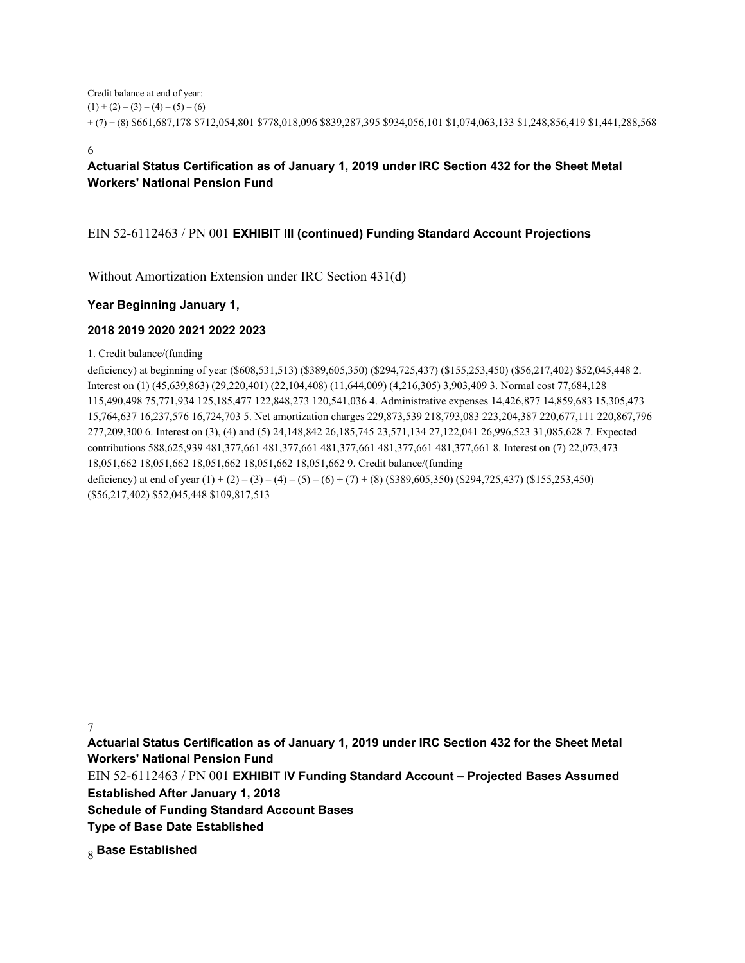Credit balance at end of year:  $(1) + (2) - (3) - (4) - (5) - (6)$ + (7) + (8) \$661,687,178 \$712,054,801 \$778,018,096 \$839,287,395 \$934,056,101 \$1,074,063,133 \$1,248,856,419 \$1,441,288,568

6

# **Actuarial Status Certification as of January 1, 2019 under IRC Section 432 for the Sheet Metal Workers' National Pension Fund**

# EIN 52-6112463 / PN 001 **EXHIBIT III (continued) Funding Standard Account Projections**

Without Amortization Extension under IRC Section 431(d)

# **Year Beginning January 1,**

## **2018 2019 2020 2021 2022 2023**

1. Credit balance/(funding

deficiency) at beginning of year (\$608,531,513) (\$389,605,350) (\$294,725,437) (\$155,253,450) (\$56,217,402) \$52,045,448 2. Interest on (1) (45,639,863) (29,220,401) (22,104,408) (11,644,009) (4,216,305) 3,903,409 3. Normal cost 77,684,128 115,490,498 75,771,934 125,185,477 122,848,273 120,541,036 4. Administrative expenses 14,426,877 14,859,683 15,305,473 15,764,637 16,237,576 16,724,703 5. Net amortization charges 229,873,539 218,793,083 223,204,387 220,677,111 220,867,796 277,209,300 6. Interest on (3), (4) and (5) 24,148,842 26,185,745 23,571,134 27,122,041 26,996,523 31,085,628 7. Expected contributions 588,625,939 481,377,661 481,377,661 481,377,661 481,377,661 481,377,661 8. Interest on (7) 22,073,473 18,051,662 18,051,662 18,051,662 18,051,662 18,051,662 9. Credit balance/(funding deficiency) at end of year  $(1) + (2) - (3) - (4) - (5) - (6) + (7) + (8)$  (\$389,605,350) (\$294,725,437) (\$155,253,450) (\$56,217,402) \$52,045,448 \$109,817,513

7

**Actuarial Status Certification as of January 1, 2019 under IRC Section 432 for the Sheet Metal Workers' National Pension Fund**

EIN 52-6112463 / PN 001 **EXHIBIT IV Funding Standard Account – Projected Bases Assumed Established After January 1, 2018**

**Schedule of Funding Standard Account Bases**

**Type of Base Date Established**

8 **Base Established**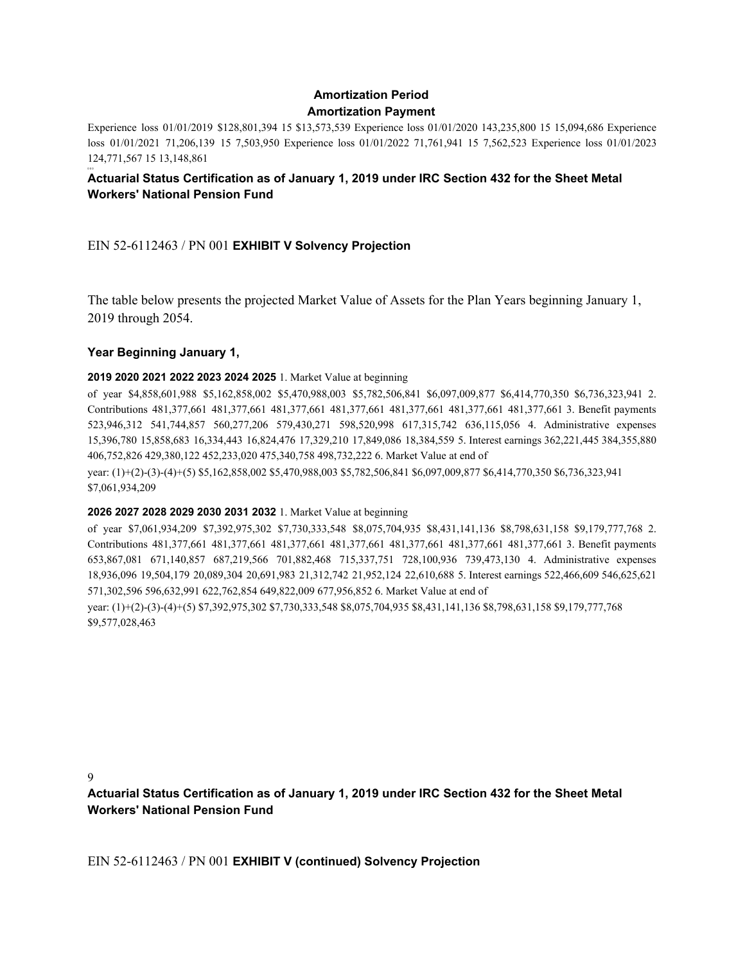# **Amortization Period Amortization Payment**

Experience loss 01/01/2019 \$128,801,394 15 \$13,573,539 Experience loss 01/01/2020 143,235,800 15 15,094,686 Experience loss 01/01/2021 71,206,139 15 7,503,950 Experience loss 01/01/2022 71,761,941 15 7,562,523 Experience loss 01/01/2023 124,771,567 15 13,148,861

#### 0 0 0 **Actuarial Status Certification as of January 1, 2019 under IRC Section 432 for the Sheet Metal Workers' National Pension Fund**

EIN 52-6112463 / PN 001 **EXHIBIT V Solvency Projection**

The table below presents the projected Market Value of Assets for the Plan Years beginning January 1, 2019 through 2054.

# **Year Beginning January 1,**

## **2019 2020 2021 2022 2023 2024 2025** 1. Market Value at beginning

of year \$4,858,601,988 \$5,162,858,002 \$5,470,988,003 \$5,782,506,841 \$6,097,009,877 \$6,414,770,350 \$6,736,323,941 2. Contributions 481,377,661 481,377,661 481,377,661 481,377,661 481,377,661 481,377,661 481,377,661 3. Benefit payments 523,946,312 541,744,857 560,277,206 579,430,271 598,520,998 617,315,742 636,115,056 4. Administrative expenses 15,396,780 15,858,683 16,334,443 16,824,476 17,329,210 17,849,086 18,384,559 5. Interest earnings 362,221,445 384,355,880 406,752,826 429,380,122 452,233,020 475,340,758 498,732,222 6. Market Value at end of

year: (1)+(2)-(3)-(4)+(5) \$5,162,858,002 \$5,470,988,003 \$5,782,506,841 \$6,097,009,877 \$6,414,770,350 \$6,736,323,941 \$7,061,934,209

# **2026 2027 2028 2029 2030 2031 2032** 1. Market Value at beginning

of year \$7,061,934,209 \$7,392,975,302 \$7,730,333,548 \$8,075,704,935 \$8,431,141,136 \$8,798,631,158 \$9,179,777,768 2. Contributions 481,377,661 481,377,661 481,377,661 481,377,661 481,377,661 481,377,661 481,377,661 3. Benefit payments 653,867,081 671,140,857 687,219,566 701,882,468 715,337,751 728,100,936 739,473,130 4. Administrative expenses 18,936,096 19,504,179 20,089,304 20,691,983 21,312,742 21,952,124 22,610,688 5. Interest earnings 522,466,609 546,625,621 571,302,596 596,632,991 622,762,854 649,822,009 677,956,852 6. Market Value at end of

year: (1)+(2)-(3)-(4)+(5) \$7,392,975,302 \$7,730,333,548 \$8,075,704,935 \$8,431,141,136 \$8,798,631,158 \$9,179,777,768 \$9,577,028,463

9

**Actuarial Status Certification as of January 1, 2019 under IRC Section 432 for the Sheet Metal Workers' National Pension Fund**

EIN 52-6112463 / PN 001 **EXHIBIT V (continued) Solvency Projection**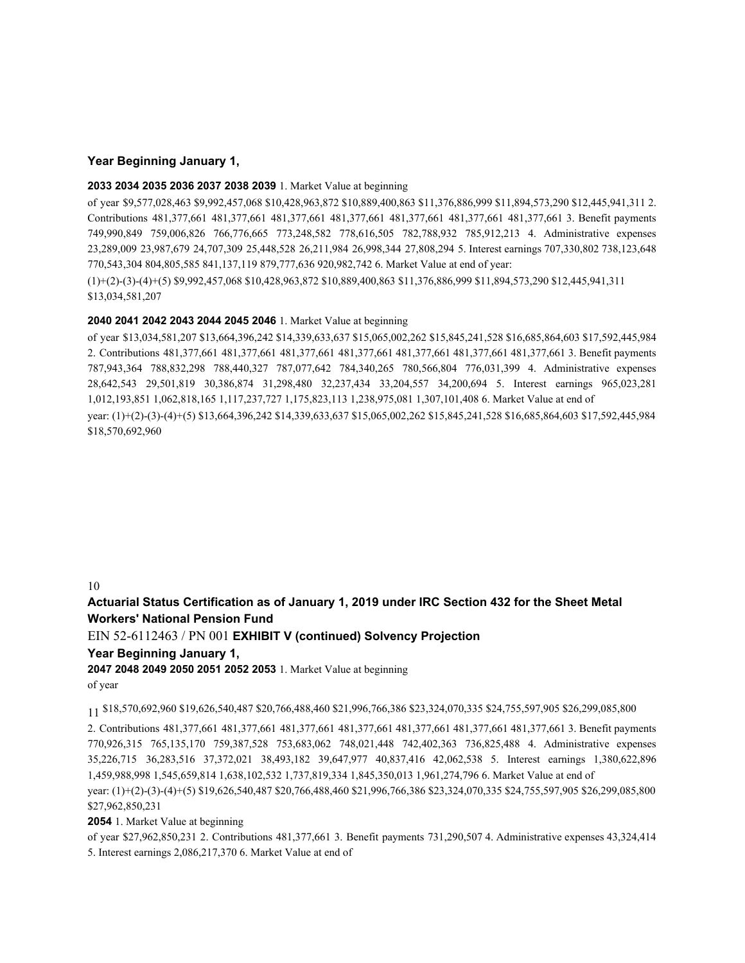### **Year Beginning January 1,**

#### **2033 2034 2035 2036 2037 2038 2039** 1. Market Value at beginning

of year \$9,577,028,463 \$9,992,457,068 \$10,428,963,872 \$10,889,400,863 \$11,376,886,999 \$11,894,573,290 \$12,445,941,311 2. Contributions 481,377,661 481,377,661 481,377,661 481,377,661 481,377,661 481,377,661 481,377,661 3. Benefit payments 749,990,849 759,006,826 766,776,665 773,248,582 778,616,505 782,788,932 785,912,213 4. Administrative expenses 23,289,009 23,987,679 24,707,309 25,448,528 26,211,984 26,998,344 27,808,294 5. Interest earnings 707,330,802 738,123,648 770,543,304 804,805,585 841,137,119 879,777,636 920,982,742 6. Market Value at end of year: (1)+(2)-(3)-(4)+(5) \$9,992,457,068 \$10,428,963,872 \$10,889,400,863 \$11,376,886,999 \$11,894,573,290 \$12,445,941,311

\$13,034,581,207

#### **2040 2041 2042 2043 2044 2045 2046** 1. Market Value at beginning

of year \$13,034,581,207 \$13,664,396,242 \$14,339,633,637 \$15,065,002,262 \$15,845,241,528 \$16,685,864,603 \$17,592,445,984 2. Contributions 481,377,661 481,377,661 481,377,661 481,377,661 481,377,661 481,377,661 481,377,661 3. Benefit payments 787,943,364 788,832,298 788,440,327 787,077,642 784,340,265 780,566,804 776,031,399 4. Administrative expenses 28,642,543 29,501,819 30,386,874 31,298,480 32,237,434 33,204,557 34,200,694 5. Interest earnings 965,023,281 1,012,193,851 1,062,818,165 1,117,237,727 1,175,823,113 1,238,975,081 1,307,101,408 6. Market Value at end of year: (1)+(2)-(3)-(4)+(5) \$13,664,396,242 \$14,339,633,637 \$15,065,002,262 \$15,845,241,528 \$16,685,864,603 \$17,592,445,984 \$18,570,692,960

10

# **Actuarial Status Certification as of January 1, 2019 under IRC Section 432 for the Sheet Metal Workers' National Pension Fund**

EIN 52-6112463 / PN 001 **EXHIBIT V (continued) Solvency Projection**

### **Year Beginning January 1,**

**2047 2048 2049 2050 2051 2052 2053** 1. Market Value at beginning of year

11 \$18,570,692,960 \$19,626,540,487 \$20,766,488,460 \$21,996,766,386 \$23,324,070,335 \$24,755,597,905 \$26,299,085,800

2. Contributions 481,377,661 481,377,661 481,377,661 481,377,661 481,377,661 481,377,661 481,377,661 3. Benefit payments 770,926,315 765,135,170 759,387,528 753,683,062 748,021,448 742,402,363 736,825,488 4. Administrative expenses 35,226,715 36,283,516 37,372,021 38,493,182 39,647,977 40,837,416 42,062,538 5. Interest earnings 1,380,622,896 1,459,988,998 1,545,659,814 1,638,102,532 1,737,819,334 1,845,350,013 1,961,274,796 6. Market Value at end of year: (1)+(2)-(3)-(4)+(5) \$19,626,540,487 \$20,766,488,460 \$21,996,766,386 \$23,324,070,335 \$24,755,597,905 \$26,299,085,800

\$27,962,850,231

**2054** 1. Market Value at beginning

of year \$27,962,850,231 2. Contributions 481,377,661 3. Benefit payments 731,290,507 4. Administrative expenses 43,324,414 5. Interest earnings 2,086,217,370 6. Market Value at end of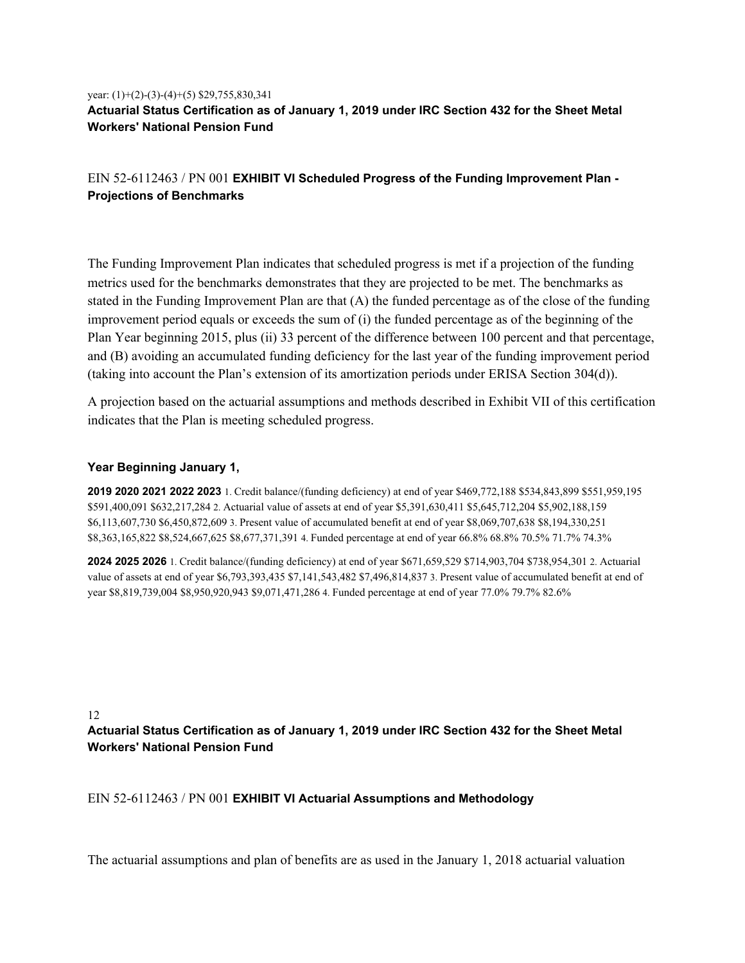# year: (1)+(2)-(3)-(4)+(5) \$29,755,830,341 **Actuarial Status Certification as of January 1, 2019 under IRC Section 432 for the Sheet Metal Workers' National Pension Fund**

# EIN 52-6112463 / PN 001 **EXHIBIT VI Scheduled Progress of the Funding Improvement Plan - Projections of Benchmarks**

The Funding Improvement Plan indicates that scheduled progress is met if a projection of the funding metrics used for the benchmarks demonstrates that they are projected to be met. The benchmarks as stated in the Funding Improvement Plan are that (A) the funded percentage as of the close of the funding improvement period equals or exceeds the sum of (i) the funded percentage as of the beginning of the Plan Year beginning 2015, plus (ii) 33 percent of the difference between 100 percent and that percentage, and (B) avoiding an accumulated funding deficiency for the last year of the funding improvement period (taking into account the Plan's extension of its amortization periods under ERISA Section 304(d)).

A projection based on the actuarial assumptions and methods described in Exhibit VII of this certification indicates that the Plan is meeting scheduled progress.

## **Year Beginning January 1,**

**2019 2020 2021 2022 2023** 1. Credit balance/(funding deficiency) at end of year \$469,772,188 \$534,843,899 \$551,959,195 \$591,400,091 \$632,217,284 2. Actuarial value of assets at end of year \$5,391,630,411 \$5,645,712,204 \$5,902,188,159 \$6,113,607,730 \$6,450,872,609 3. Present value of accumulated benefit at end of year \$8,069,707,638 \$8,194,330,251 \$8,363,165,822 \$8,524,667,625 \$8,677,371,391 4. Funded percentage at end of year 66.8% 68.8% 70.5% 71.7% 74.3%

**2024 2025 2026** 1. Credit balance/(funding deficiency) at end of year \$671,659,529 \$714,903,704 \$738,954,301 2. Actuarial value of assets at end of year \$6,793,393,435 \$7,141,543,482 \$7,496,814,837 3. Present value of accumulated benefit at end of year \$8,819,739,004 \$8,950,920,943 \$9,071,471,286 4. Funded percentage at end of year 77.0% 79.7% 82.6%

# 12 **Actuarial Status Certification as of January 1, 2019 under IRC Section 432 for the Sheet Metal Workers' National Pension Fund**

### EIN 52-6112463 / PN 001 **EXHIBIT VI Actuarial Assumptions and Methodology**

The actuarial assumptions and plan of benefits are as used in the January 1, 2018 actuarial valuation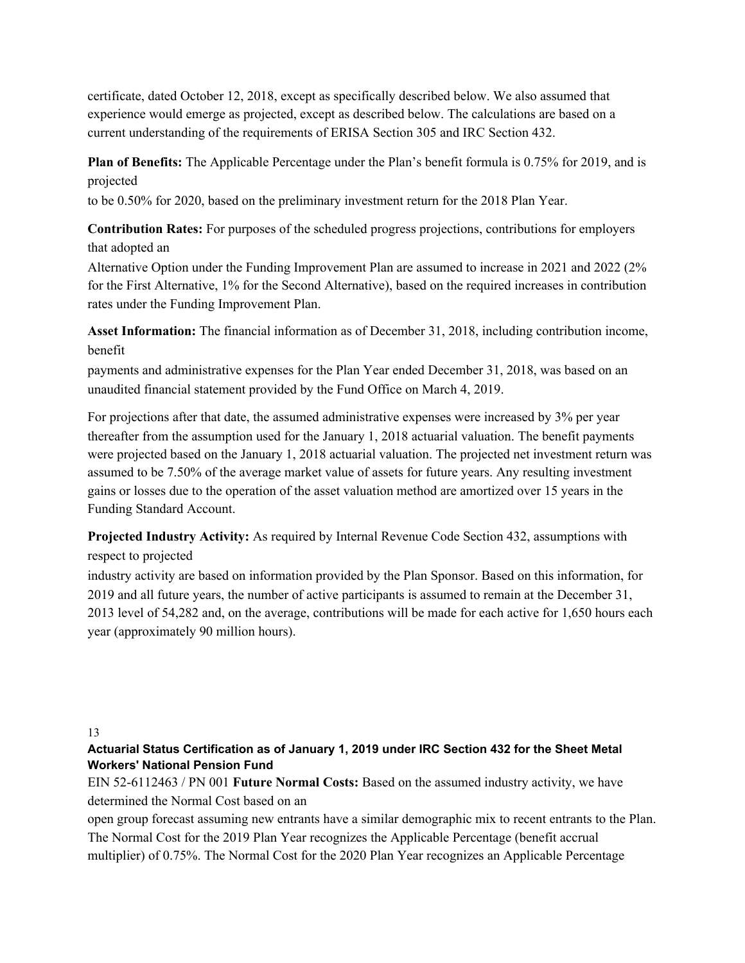certificate, dated October 12, 2018, except as specifically described below. We also assumed that experience would emerge as projected, except as described below. The calculations are based on a current understanding of the requirements of ERISA Section 305 and IRC Section 432.

**Plan of Benefits:** The Applicable Percentage under the Plan's benefit formula is 0.75% for 2019, and is projected

to be 0.50% for 2020, based on the preliminary investment return for the 2018 Plan Year.

**Contribution Rates:** For purposes of the scheduled progress projections, contributions for employers that adopted an

Alternative Option under the Funding Improvement Plan are assumed to increase in 2021 and 2022 (2% for the First Alternative, 1% for the Second Alternative), based on the required increases in contribution rates under the Funding Improvement Plan.

**Asset Information:** The financial information as of December 31, 2018, including contribution income, benefit

payments and administrative expenses for the Plan Year ended December 31, 2018, was based on an unaudited financial statement provided by the Fund Office on March 4, 2019.

For projections after that date, the assumed administrative expenses were increased by 3% per year thereafter from the assumption used for the January 1, 2018 actuarial valuation. The benefit payments were projected based on the January 1, 2018 actuarial valuation. The projected net investment return was assumed to be 7.50% of the average market value of assets for future years. Any resulting investment gains or losses due to the operation of the asset valuation method are amortized over 15 years in the Funding Standard Account.

**Projected Industry Activity:** As required by Internal Revenue Code Section 432, assumptions with respect to projected

industry activity are based on information provided by the Plan Sponsor. Based on this information, for 2019 and all future years, the number of active participants is assumed to remain at the December 31, 2013 level of 54,282 and, on the average, contributions will be made for each active for 1,650 hours each year (approximately 90 million hours).

13

**Actuarial Status Certification as of January 1, 2019 under IRC Section 432 for the Sheet Metal Workers' National Pension Fund**

EIN 52-6112463 / PN 001 **Future Normal Costs:** Based on the assumed industry activity, we have determined the Normal Cost based on an

open group forecast assuming new entrants have a similar demographic mix to recent entrants to the Plan. The Normal Cost for the 2019 Plan Year recognizes the Applicable Percentage (benefit accrual multiplier) of 0.75%. The Normal Cost for the 2020 Plan Year recognizes an Applicable Percentage